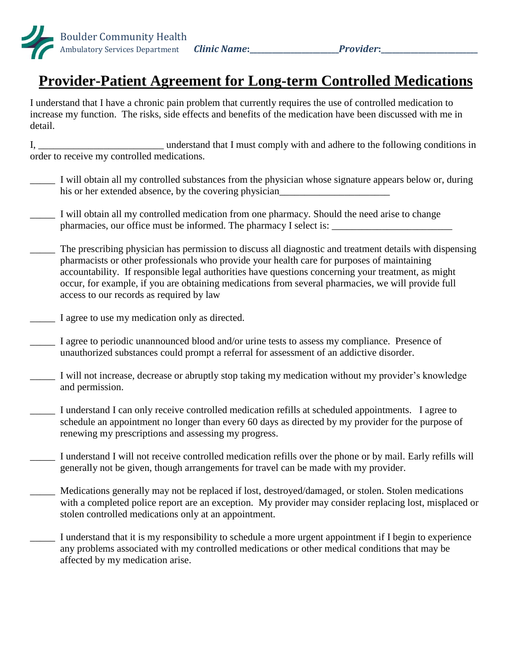

## **Provider-Patient Agreement for Long-term Controlled Medications**

I understand that I have a chronic pain problem that currently requires the use of controlled medication to increase my function. The risks, side effects and benefits of the medication have been discussed with me in detail.

I, \_\_\_\_\_\_\_\_\_\_\_\_\_\_\_\_\_\_\_\_\_\_\_\_\_ understand that I must comply with and adhere to the following conditions in order to receive my controlled medications.

- \_\_\_\_\_ I will obtain all my controlled substances from the physician whose signature appears below or, during his or her extended absence, by the covering physician
- I will obtain all my controlled medication from one pharmacy. Should the need arise to change pharmacies, our office must be informed. The pharmacy I select is:
- The prescribing physician has permission to discuss all diagnostic and treatment details with dispensing pharmacists or other professionals who provide your health care for purposes of maintaining accountability. If responsible legal authorities have questions concerning your treatment, as might occur, for example, if you are obtaining medications from several pharmacies, we will provide full access to our records as required by law
- I agree to use my medication only as directed.
- I agree to periodic unannounced blood and/or urine tests to assess my compliance. Presence of unauthorized substances could prompt a referral for assessment of an addictive disorder.
- I will not increase, decrease or abruptly stop taking my medication without my provider's knowledge and permission.
- I understand I can only receive controlled medication refills at scheduled appointments. I agree to schedule an appointment no longer than every 60 days as directed by my provider for the purpose of renewing my prescriptions and assessing my progress.
- I understand I will not receive controlled medication refills over the phone or by mail. Early refills will generally not be given, though arrangements for travel can be made with my provider.
- Medications generally may not be replaced if lost, destroyed/damaged, or stolen. Stolen medications with a completed police report are an exception. My provider may consider replacing lost, misplaced or stolen controlled medications only at an appointment.
- I understand that it is my responsibility to schedule a more urgent appointment if I begin to experience any problems associated with my controlled medications or other medical conditions that may be affected by my medication arise.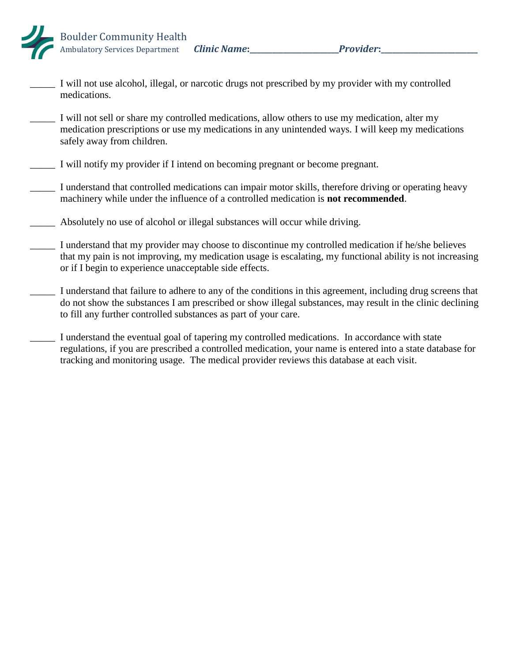

- I will not use alcohol, illegal, or narcotic drugs not prescribed by my provider with my controlled medications.
- \_\_\_\_\_ I will not sell or share my controlled medications, allow others to use my medication, alter my medication prescriptions or use my medications in any unintended ways. I will keep my medications safely away from children.
- \_\_\_\_\_ I will notify my provider if I intend on becoming pregnant or become pregnant.
- \_\_\_\_\_ I understand that controlled medications can impair motor skills, therefore driving or operating heavy machinery while under the influence of a controlled medication is **not recommended**.
- \_\_\_\_\_ Absolutely no use of alcohol or illegal substances will occur while driving.
- \_\_\_\_\_ I understand that my provider may choose to discontinue my controlled medication if he/she believes that my pain is not improving, my medication usage is escalating, my functional ability is not increasing or if I begin to experience unacceptable side effects.
- I understand that failure to adhere to any of the conditions in this agreement, including drug screens that do not show the substances I am prescribed or show illegal substances, may result in the clinic declining to fill any further controlled substances as part of your care.
- I understand the eventual goal of tapering my controlled medications. In accordance with state regulations, if you are prescribed a controlled medication, your name is entered into a state database for tracking and monitoring usage. The medical provider reviews this database at each visit.